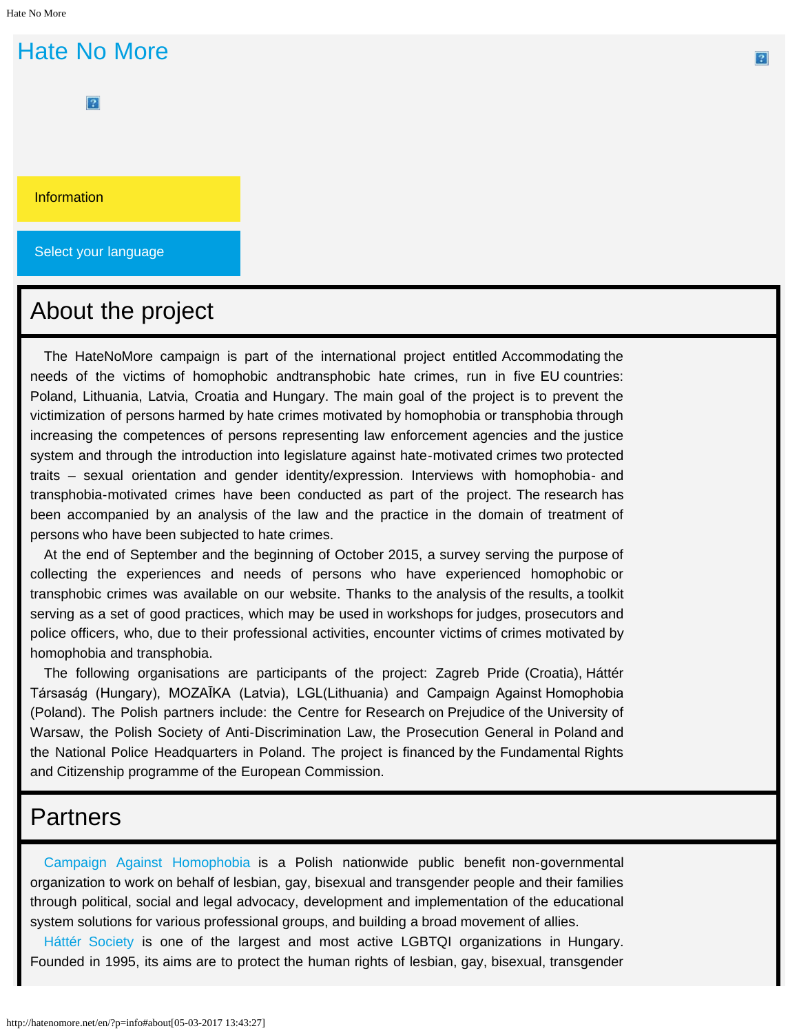# <span id="page-0-0"></span>[Hate No More](http://hatenomore.net/en/)

 $|2|$ 

**[Information](#page-0-0)** 

Select your language

### About the project

The HateNoMore campaign is part of the international project entitled Accommodating the needs of the victims of homophobic andtransphobic hate crimes, run in five EU countries: Poland, Lithuania, Latvia, Croatia and Hungary. The main goal of the project is to prevent the victimization of persons harmed by hate crimes motivated by homophobia or transphobia through increasing the competences of persons representing law enforcement agencies and the justice system and through the introduction into legislature against hate-motivated crimes two protected traits – sexual orientation and gender identity/expression. Interviews with homophobia- and transphobia-motivated crimes have been conducted as part of the project. The research has been accompanied by an analysis of the law and the practice in the domain of treatment of persons who have been subjected to hate crimes.

At the end of September and the beginning of October 2015, a survey serving the purpose of collecting the experiences and needs of persons who have experienced homophobic or transphobic crimes was available on our website. Thanks to the analysis of the results, a toolkit serving as a set of good practices, which may be used in workshops for judges, prosecutors and police officers, who, due to their professional activities, encounter victims of crimes motivated by homophobia and transphobia.

The following organisations are participants of the project: Zagreb Pride (Croatia), Háttér Társaság (Hungary), MOZAĪKA (Latvia), LGL(Lithuania) and Campaign Against Homophobia (Poland). The Polish partners include: the Centre for Research on Prejudice of the University of Warsaw, the Polish Society of Anti-Discrimination Law, the Prosecution General in Poland and the National Police Headquarters in Poland. The project is financed by the Fundamental Rights and Citizenship programme of the European Commission.

### **Partners**

[Campaign Against Homophobia](http://kph.org.pl/) is a Polish nationwide public benefit non-governmental organization to work on behalf of lesbian, gay, bisexual and transgender people and their families through political, social and legal advocacy, development and implementation of the educational system solutions for various professional groups, and building a broad movement of allies.

[Háttér Society](http://en.hatter.hu/) is one of the largest and most active LGBTQI organizations in Hungary. Founded in 1995, its aims are to protect the human rights of lesbian, gay, bisexual, transgender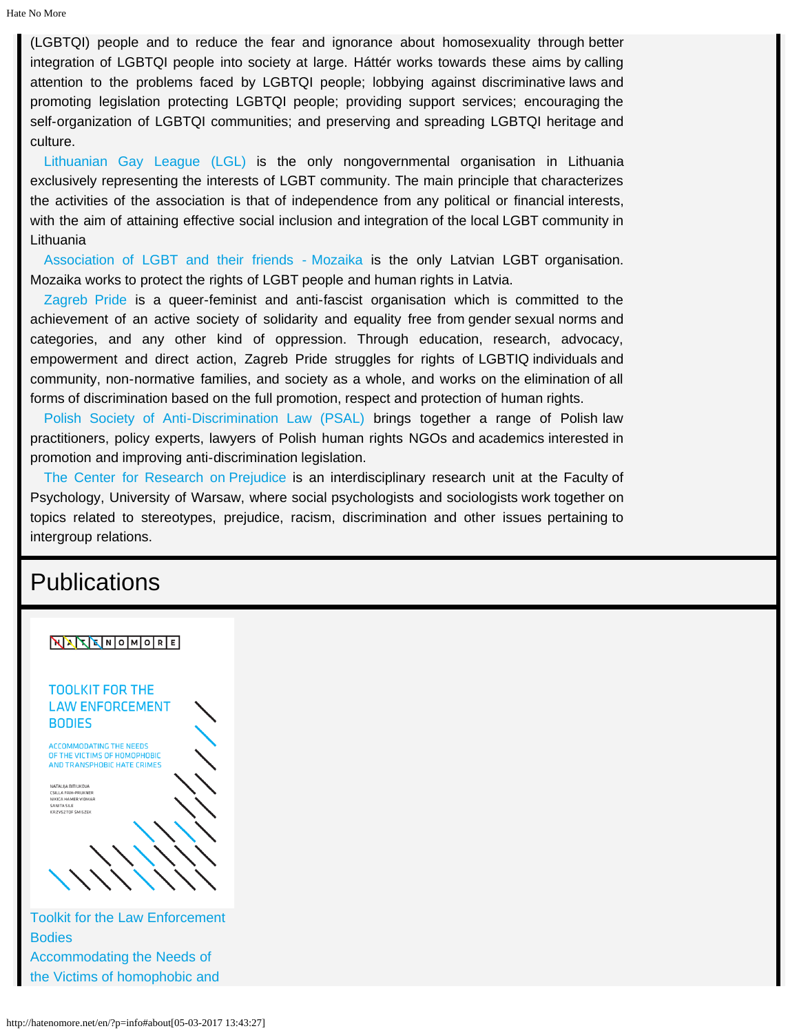(LGBTQI) people and to reduce the fear and ignorance about homosexuality through better integration of LGBTQI people into society at large. Háttér works towards these aims by calling attention to the problems faced by LGBTQI people; lobbying against discriminative laws and promoting legislation protecting LGBTQI people; providing support services; encouraging the self-organization of LGBTQI communities; and preserving and spreading LGBTQI heritage and culture.

[Lithuanian Gay League \(LGL\)](http://lgl.lt/en/) is the only nongovernmental organisation in Lithuania exclusively representing the interests of LGBT community. The main principle that characterizes the activities of the association is that of independence from any political or financial interests, with the aim of attaining effective social inclusion and integration of the local LGBT community in Lithuania

[Association of LGBT and their friends - Mozaika](http://mozaika.lv/) is the only Latvian LGBT organisation. Mozaika works to protect the rights of LGBT people and human rights in Latvia.

[Zagreb Pride](http://zagreb-pride.net/en/) is a queer-feminist and anti-fascist organisation which is committed to the achievement of an active society of solidarity and equality free from gender sexual norms and categories, and any other kind of oppression. Through education, research, advocacy, empowerment and direct action, Zagreb Pride struggles for rights of LGBTIQ individuals and community, non-normative families, and society as a whole, and works on the elimination of all forms of discrimination based on the full promotion, respect and protection of human rights.

[Polish Society of Anti-Discrimination Law \(PSAL\)](http://www.ptpa.org.pl/english) brings together a range of Polish law practitioners, policy experts, lawyers of Polish human rights NGOs and academics interested in promotion and improving anti-discrimination legislation.

[The Center for Research on Prejudice](http://cbu.psychologia.pl/) is an interdisciplinary research unit at the Faculty of Psychology, University of Warsaw, where social psychologists and sociologists work together on topics related to stereotypes, prejudice, racism, discrimination and other issues pertaining to intergroup relations.

### **Publications**

#### NATENOMORE



[Bodies](http://hatenomore.net/publ/03-toolkit-miedzyn/03-toolkit-miedz.pdf)  [Accommodating the Needs of](http://hatenomore.net/publ/03-toolkit-miedzyn/03-toolkit-miedz.pdf) [the Victims of homophobic and](http://hatenomore.net/publ/03-toolkit-miedzyn/03-toolkit-miedz.pdf)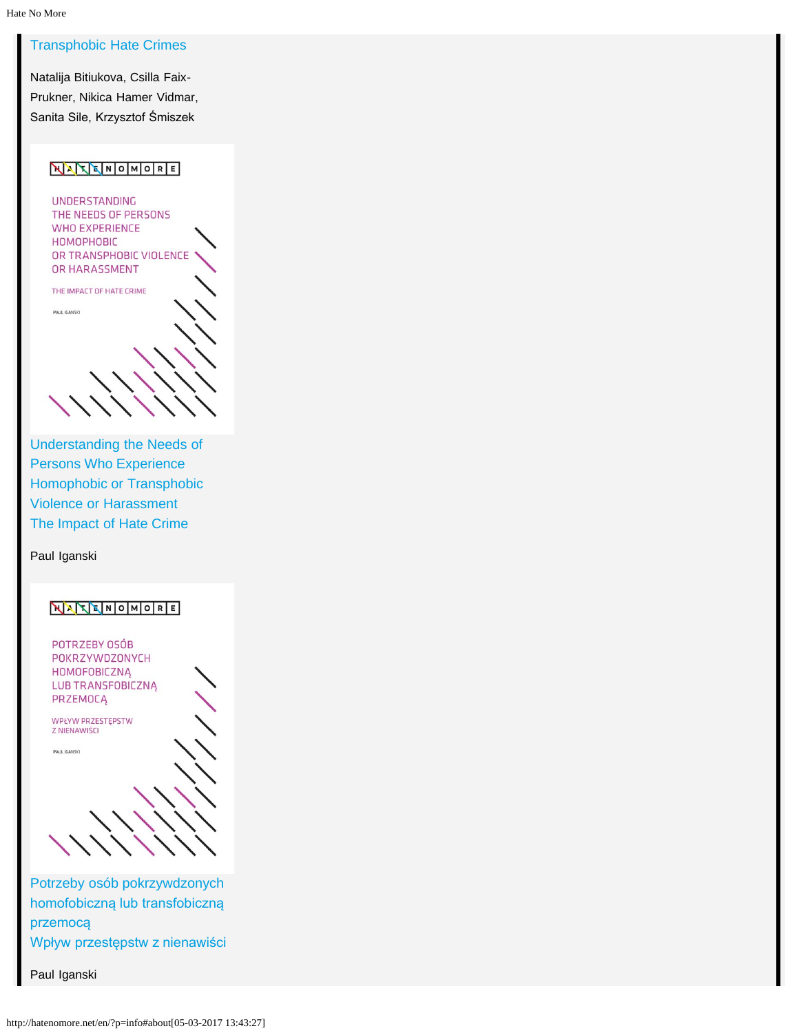#### [Transphobic Hate Crimes](http://hatenomore.net/publ/03-toolkit-miedzyn/03-toolkit-miedz.pdf)

[Natalija Bitiukova, Csilla Faix-](http://hatenomore.net/publ/03-toolkit-miedzyn/03-toolkit-miedz.pdf)[Prukner, Nikica Hamer Vidmar,](http://hatenomore.net/publ/03-toolkit-miedzyn/03-toolkit-miedz.pdf) [Sanita Sile, Krzysztof Śmiszek](http://hatenomore.net/publ/03-toolkit-miedzyn/03-toolkit-miedz.pdf)

#### NATENOMORE

UNDERSTANDING THE NEEDS OF PERSONS WHO EXPERIENCE **HOMOPHOBIC** OR TRANSPHOBIC VIOLENCE OR HARASSMENT

THE IMPACT OF HATE CRIME

PAUL IGANSKI

[Understanding the Needs of](http://hatenomore.net/publ/06-summary-en/06-summary_EN.pdf) [Persons Who Experience](http://hatenomore.net/publ/06-summary-en/06-summary_EN.pdf) [Homophobic or Transphobic](http://hatenomore.net/publ/06-summary-en/06-summary_EN.pdf) [Violence or Harassment](http://hatenomore.net/publ/06-summary-en/06-summary_EN.pdf)  [The Impact of Hate Crime](http://hatenomore.net/publ/06-summary-en/06-summary_EN.pdf)

[Paul Iganski](http://hatenomore.net/publ/06-summary-en/06-summary_EN.pdf)

#### NATENOMORE

POTRZEBY OSÓB POKRZYWDZONYCH **HOMOFOBICZNA** LUB TRANSFOBICZNĄ PRZEMOCĄ

WPŁYW PRZESTĘPSTW Z NIENAWIŚCI

PAUL IGANSKI

[Potrzeby osób pokrzywdzonych](http://hatenomore.net/publ/07-summary_PL/07-summary_PL.pdf) [homofobiczną lub transfobiczną](http://hatenomore.net/publ/07-summary_PL/07-summary_PL.pdf) [przemocą](http://hatenomore.net/publ/07-summary_PL/07-summary_PL.pdf)  [Wpływ przestępstw z nienawiści](http://hatenomore.net/publ/07-summary_PL/07-summary_PL.pdf)

[Paul Iganski](http://hatenomore.net/publ/07-summary_PL/07-summary_PL.pdf)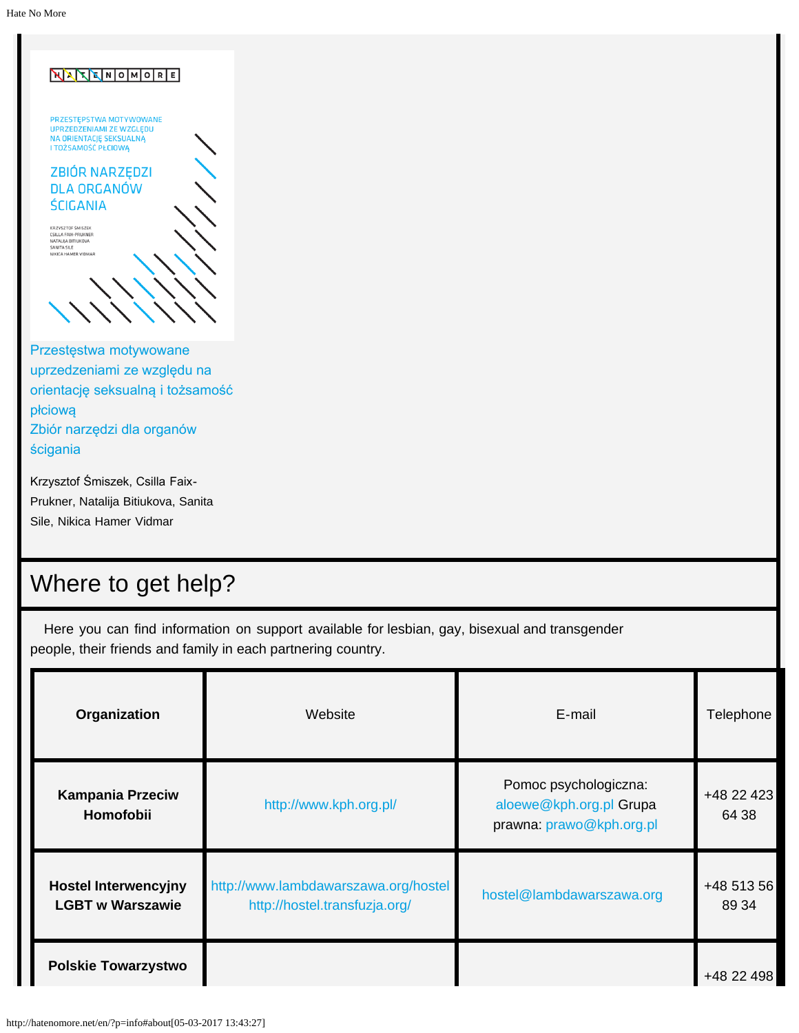| NXXXMOMORE                                                                                                         |  |
|--------------------------------------------------------------------------------------------------------------------|--|
| PRZESTĘPSTWA MOTYWOWANE<br><b>UPRZEDZENIAMI ZE WZGLĘDU</b><br>NA ORIENTACJĘ SEKSUALNĄ<br>I TOŻSAMOŚĆ PŁCIOWĄ       |  |
| <b>ZBIÓR NARZEDZI</b>                                                                                              |  |
| <b>DLA ORGANÓW</b>                                                                                                 |  |
| <b>ŚCIGANIA</b>                                                                                                    |  |
| KRZYSZTOF ŚMISZEK<br><b>CSILLA FAIX-PRUKNER</b><br>NATALIJA BITIUKOVA<br><b>SANITA SILE</b><br>NIKICA HAMER VIDMAR |  |
|                                                                                                                    |  |

[Przestęstwa motywowane](http://hatenomore.net/publ/09-toolkit-pl/09-toolkit-pl.pdf) [uprzedzeniami ze względu na](http://hatenomore.net/publ/09-toolkit-pl/09-toolkit-pl.pdf) [orientację seksualną i tożsamość](http://hatenomore.net/publ/09-toolkit-pl/09-toolkit-pl.pdf) [płciową](http://hatenomore.net/publ/09-toolkit-pl/09-toolkit-pl.pdf)  [Zbiór narzędzi dla organów](http://hatenomore.net/publ/09-toolkit-pl/09-toolkit-pl.pdf) [ścigania](http://hatenomore.net/publ/09-toolkit-pl/09-toolkit-pl.pdf)

[Krzysztof Śmiszek, Csilla Faix-](http://hatenomore.net/publ/09-toolkit-pl/09-toolkit-pl.pdf)[Prukner, Natalija Bitiukova, Sanita](http://hatenomore.net/publ/09-toolkit-pl/09-toolkit-pl.pdf) [Sile, Nikica Hamer Vidmar](http://hatenomore.net/publ/09-toolkit-pl/09-toolkit-pl.pdf)

## Where to get help?

Here you can find information on support available for lesbian, gay, bisexual and transgender people, their friends and family in each partnering country.

| Organization                                           | Website                                                               | E-mail                                                                       | Telephone           |
|--------------------------------------------------------|-----------------------------------------------------------------------|------------------------------------------------------------------------------|---------------------|
| <b>Kampania Przeciw</b><br>Homofobii                   | http://www.kph.org.pl/                                                | Pomoc psychologiczna:<br>aloewe@kph.org.pl Grupa<br>prawna: prawo@kph.org.pl | +48 22 423<br>64 38 |
| <b>Hostel Interwencyjny</b><br><b>LGBT w Warszawie</b> | http://www.lambdawarszawa.org/hostel<br>http://hostel.transfuzja.org/ | hostel@lambdawarszawa.org                                                    | +48 513 56<br>89 34 |
| <b>Polskie Towarzystwo</b>                             |                                                                       |                                                                              | +48 22 498          |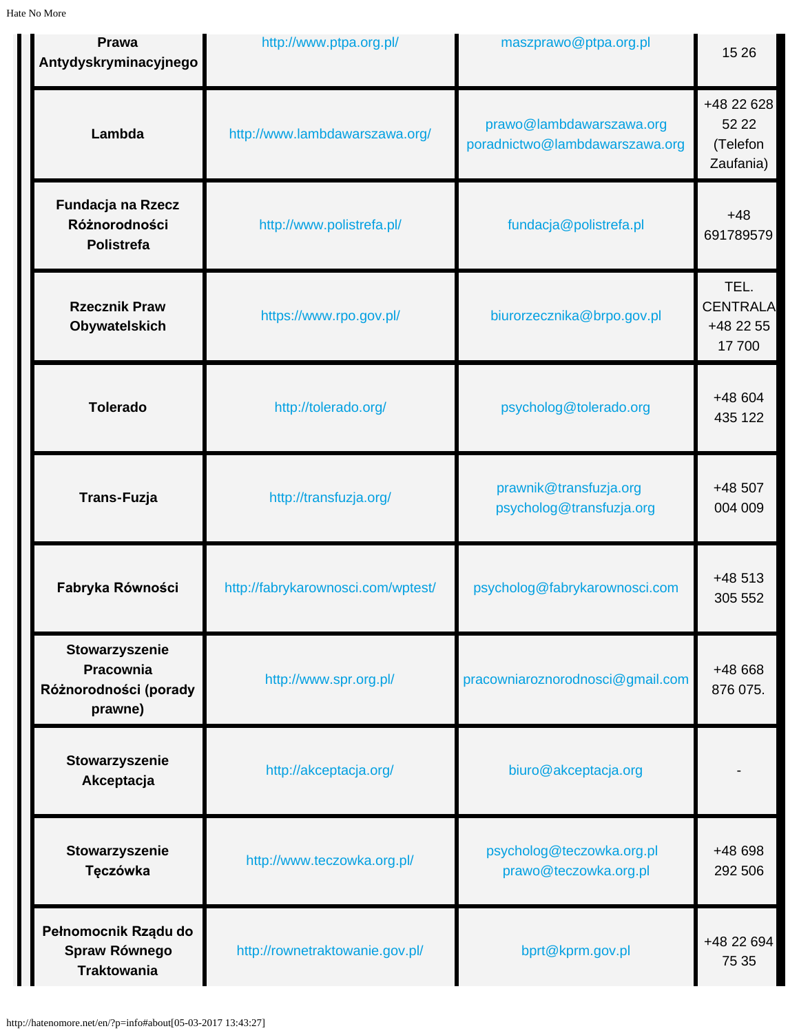| <b>Prawa</b><br>Antydyskryminacyjnego                           | http://www.ptpa.org.pl/            | maszprawo@ptpa.org.pl                                      | 15 26                                         |
|-----------------------------------------------------------------|------------------------------------|------------------------------------------------------------|-----------------------------------------------|
| Lambda                                                          | http://www.lambdawarszawa.org/     | prawo@lambdawarszawa.org<br>poradnictwo@lambdawarszawa.org | +48 22 628<br>52 22<br>(Telefon<br>Zaufania)  |
| Fundacja na Rzecz<br>Różnorodności<br>Polistrefa                | http://www.polistrefa.pl/          | fundacja@polistrefa.pl                                     | $+48$<br>691789579                            |
| <b>Rzecznik Praw</b><br>Obywatelskich                           | https://www.rpo.gov.pl/            | biurorzecznika@brpo.gov.pl                                 | TEL.<br><b>CENTRALA</b><br>+48 22 55<br>17700 |
| <b>Tolerado</b>                                                 | http://tolerado.org/               | psycholog@tolerado.org                                     | +48 604<br>435 122                            |
| <b>Trans-Fuzja</b>                                              | http://transfuzja.org/             | prawnik@transfuzja.org<br>psycholog@transfuzja.org         | +48 507<br>004 009                            |
| Fabryka Równości                                                | http://fabrykarownosci.com/wptest/ | psycholog@fabrykarownosci.com                              | $+48513$<br>305 552                           |
| Stowarzyszenie<br>Pracownia<br>Różnorodności (porady<br>prawne) | http://www.spr.org.pl/             | pracowniaroznorodnosci@gmail.com                           | +48 668<br>876 075.                           |
| Stowarzyszenie<br>Akceptacja                                    | http://akceptacja.org/             | biuro@akceptacja.org                                       |                                               |
| Stowarzyszenie<br>Tęczówka                                      | http://www.teczowka.org.pl/        | psycholog@teczowka.org.pl<br>prawo@teczowka.org.pl         | +48 698<br>292 506                            |
| Pełnomocnik Rządu do<br>Spraw Równego<br><b>Traktowania</b>     | http://rownetraktowanie.gov.pl/    | bprt@kprm.gov.pl                                           | +48 22 694<br>75 35                           |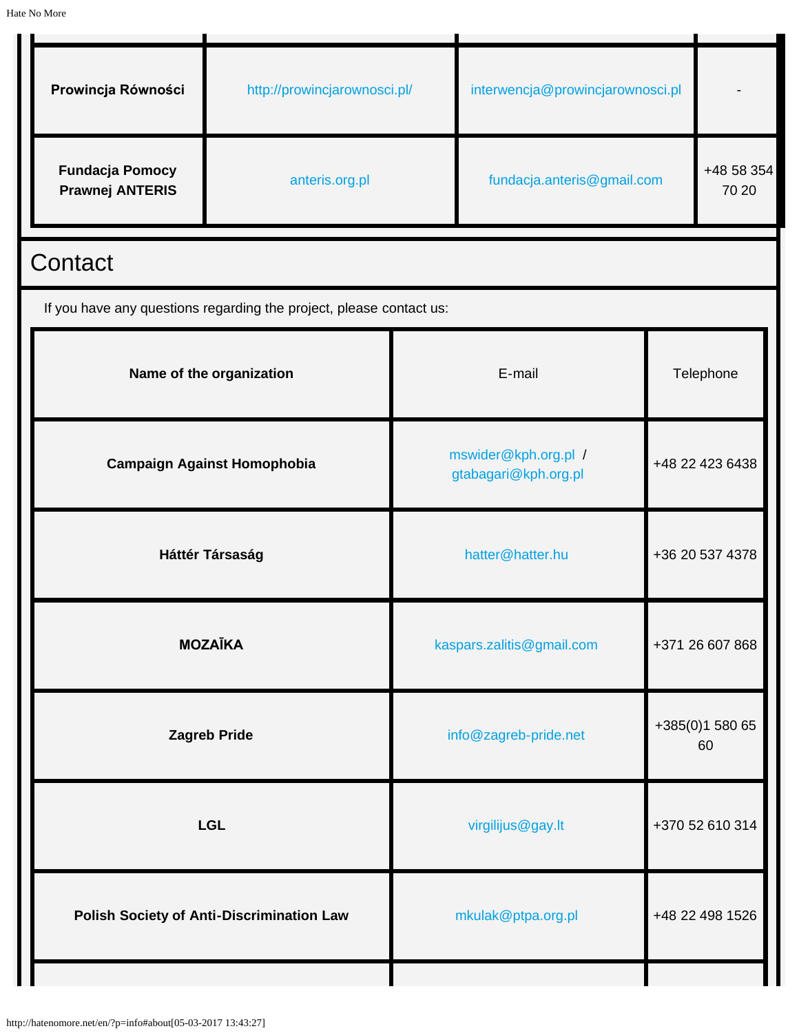| Prowincja Równości                               | http://prowincjarownosci.pl/                                        |                                                | interwencja@prowincjarownosci.pl |                 |                     |
|--------------------------------------------------|---------------------------------------------------------------------|------------------------------------------------|----------------------------------|-----------------|---------------------|
| <b>Fundacja Pomocy</b><br><b>Prawnej ANTERIS</b> | anteris.org.pl                                                      |                                                | fundacja.anteris@gmail.com       |                 | +48 58 354<br>70 20 |
| Contact                                          |                                                                     |                                                |                                  |                 |                     |
|                                                  | If you have any questions regarding the project, please contact us: |                                                |                                  |                 |                     |
|                                                  | Name of the organization                                            | E-mail<br>Telephone                            |                                  |                 |                     |
|                                                  | <b>Campaign Against Homophobia</b>                                  | mswider@kph.org.pl /<br>gtabagari@kph.org.pl   |                                  | +48 22 423 6438 |                     |
| Háttér Társaság                                  |                                                                     | +36 20 537 4378<br>hatter@hatter.hu            |                                  |                 |                     |
| <b>MOZAĪKA</b>                                   |                                                                     | kaspars.zalitis@gmail.com                      |                                  | +371 26 607 868 |                     |
| <b>Zagreb Pride</b>                              |                                                                     | +385(0)1 580 65<br>info@zagreb-pride.net<br>60 |                                  |                 |                     |
|                                                  | <b>LGL</b>                                                          | virgilijus@gay.lt                              |                                  | +370 52 610 314 |                     |
|                                                  | Polish Society of Anti-Discrimination Law                           | +48 22 498 1526<br>mkulak@ptpa.org.pl          |                                  |                 |                     |
|                                                  |                                                                     |                                                |                                  |                 |                     |